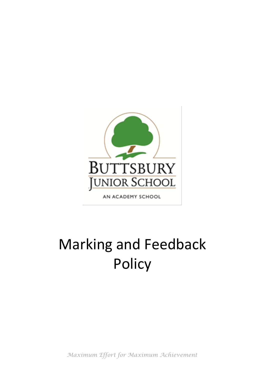

AN ACADEMY SCHOOL

# Marking and Feedback **Policy**

*Maximum Effort for Maximum Achievement*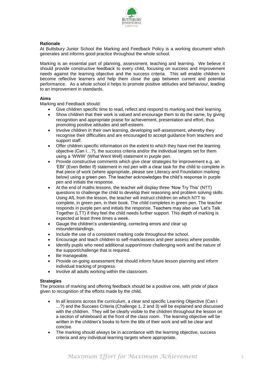

# **Rationale**

At Buttsbury Junior School the Marking and Feedback Policy is a working document which generates and informs good practice throughout the whole school.

Marking is an essential part of planning, assessment, teaching and learning. We believe it should provide constructive feedback to every child, focusing on success and improvement needs against the learning objective and the success criteria. This will enable children to become reflective learners and help them close the gap between current and potential performance. As a whole school it helps to promote positive attitudes and behaviour, leading to an improvement in standards.

# **Aims**

Marking and Feedback should:

- Give children specific time to read, reflect and respond to marking and their learning.
- Show children that their work is valued and encourage them to do the same, by giving recognition and appropriate praise for achievement, presentation and effort, thus promoting positive attitudes and self-esteem.
- Involve children in their own learning, developing self-assessment, whereby they recognise their difficulties and are encouraged to accept guidance from teachers and support staff.
- Offer children specific information on the extent to which they have met the learning objective (Can I…?), the success criteria and/or the individual targets set for them using a 'WWW' (What Went Well) statement in purple pen.
- Provide constructive comments which give clear strategies for improvement e.g. an 'EBI' (Even Better If) statement in red pen with a clear task for the child to complete in that piece of work (where appropriate, please see Literacy and Foundation marking below) using a green pen. The teacher acknowledges the child's response in purple pen and initials the response.
- At the end of maths lessons, the teacher will display three 'Now Try This' (NTT) questions to challenge the child to develop their reasoning and problem solving skills. Using AfL from the lesson, the teacher will instruct children on which NTT to complete, in green pen, in their book. The child completes in green pen. The teacher responds in purple pen and initials the response. Teachers may also use 'Let's Talk Together (LTT) if they feel the child needs further support. This depth of marking is expected at least three times a week.
- Gauge the children's understanding, correcting errors and clear up misunderstandings.
- Include the use of a consistent marking code throughout the school.
- Encourage and teach children to self-mark/assess and peer assess where possible.
- Identify pupils who need additional support/more challenging work and the nature of the support/challenge that is required.
- Be manageable.
- Provide on-going assessment that should inform future lesson planning and inform individual tracking of progress.
- Involve all adults working within the classroom.

#### **Strategies**

The process of marking and offering feedback should be a positive one, with pride of place given to recognition of the efforts made by the child.

- In all lessons across the curriculum, a clear and specific Learning Objective (Can I …?) and the Success Criteria (Challenge 1, 2 and 3) will be explained and discussed with the children. They will be clearly visible to the children throughout the lesson on a section of whiteboard at the front of the class room. The learning objective will be written in the children's books to form the title of their work and will be clear and concise.
- The marking should always be in accordance with the learning objective, success criteria and any individual learning targets where appropriate.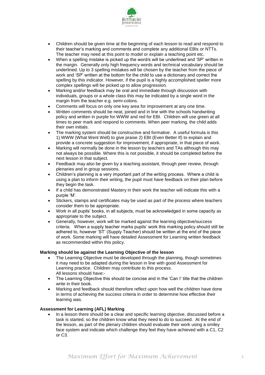

- Children should be given time at the beginning of each lesson to read and respond to their teacher's marking and comments and complete any additional EBIs or NTTs. The teacher may need at this point to model or explain a teaching point etc.
- When a spelling mistake is picked up the word/s will be underlined and 'SP' written in the margin. Generally only high frequency words and technical vocabulary should be underlined. Up to 3 spelling mistakes will be chosen by the teacher from the piece of work and 'SP' written at the bottom for the child to use a dictionary and correct the spelling by this indicator. However, if the pupil is a highly accomplished speller more complex spellings will be picked up to allow progression.
- Marking and/or feedback may be oral and immediate through discussion with individuals, groups or a whole class this may be indicated by a single word in the margin from the teacher e.g. semi-colons.
- Comments will focus on only one key area for improvement at any one time.
- Written comments should be neat, joined and in line with the schools handwriting policy and written in purple for WWW and red for EBI. Children will use green at all times to peer mark and respond to comments. When peer marking, the child adds their own initials.
- The marking system should be constructive and formative. A useful formula is this 1) WWW (What Went Well) to give praise 2) EBI (Even Better If) to explain and provide a concrete suggestion for improvement, if appropriate, in that piece of work.
- Marking will normally be done in the lesson by teachers and TAs although this may not always be possible. Where this is not possible, it should be completed before the next lesson in that subject.
- Feedback may also be given by a teaching assistant, through peer review, through plenaries and in group sessions.
- Children's planning is a very important part of the writing process. Where a child is using a plan to inform their writing, the pupil must have feedback on their plan before they begin the task.
- If a child has demonstrated Mastery in their work the teacher will indicate this with a purple 'M'.
- Stickers, stamps and certificates may be used as part of the process where teachers consider them to be appropriate.
- Work in all pupils' books, in all subjects, must be acknowledged in some capacity as appropriate to the subject.
- Generally, however, work will be marked against the learning objective/success criteria. When a supply teacher marks pupils' work this marking policy should still be adhered to, however 'ST' (Supply Teacher) should be written at the end of the piece of work. Some marking will have detailed Assessment for Learning written feedback as recommended within this policy.

#### **Marking should be against the Learning Objective of the lesson**

- The Learning Objective must be developed through the planning, though sometimes it may need to be adapted during the lesson in line with good Assessment for Learning practice. Children may contribute to this process. All lessons should have:-
- The Learning Objective this should be concise and in the 'Can I' title that the children write in their book.
- Marking and feedback should therefore reflect upon how well the children have done in terms of achieving the success criteria in order to determine how effective their learning was.

#### **Assessment for Learning (AFL) Marking**

 In a lesson there should be a clear and specific learning objective, discussed before a task is started, so the children know what they need to do to succeed. At the end of the lesson, as part of the plenary children should evaluate their work using a smiley face system and indicate which challenge they feel they have achieved with a C1, C2 or C3.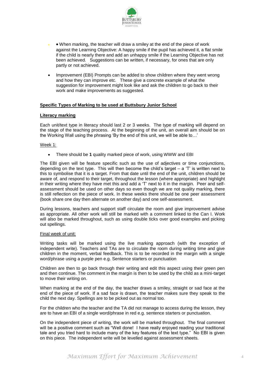

- When marking, the teacher will draw a smiley at the end of the piece of work against the Learning Objective: A happy smile if the pupil has achieved it, a flat smile if the child is nearly there and add an unhappy smile if the Learning Objective has not been achieved. Suggestions can be written, if necessary, for ones that are only partly or not achieved.
- Improvement (EBI) Prompts can be added to show children where they went wrong and how they can improve etc. These give a concrete example of what the suggestion for improvement might look like and ask the children to go back to their work and make improvements as suggested.

# **Specific Types of Marking to be used at Buttsbury Junior School**

#### **Literacy marking**

Each unit/text type in literacy should last 2 or 3 weeks. The type of marking will depend on the stage of the teaching process. At the beginning of the unit, an overall aim should be on the Working Wall using the phrasing 'By the end of this unit, we will be able to…'

#### Week 1:

There should be **1** quality marked piece of work, using WWW and EBI

The EBI given will be feature specific such as the use of adjectives or time conjunctions, depending on the text type. This will then become the child's target  $-$  a 'T' is written next to this to symbolise that it is a target. From that date until the end of the unit, children should be aware of, and respond to their target, throughout the lesson (where appropriate) and highlight in their writing where they have met this and add a 'T' next to it in the margin. Peer and selfassessment should be used on other days so even though we are not quality marking, there is still reflection on the piece of work. In these weeks there should be one peer assessment (book share one day then alternate on another day) and one self-assessment.

During lessons, teachers and support staff circulate the room and give improvement advise as appropriate. All other work will still be marked with a comment linked to the Can I. Work will also be marked throughout, such as using double ticks over good examples and picking out spellings.

#### Final week of unit:

Writing tasks will be marked using the live marking approach (with the exception of independent write). Teachers and TAs are to circulate the room during writing time and give children in the moment, verbal feedback. This is to be recorded in the margin with a single word/phrase using a purple pen e.g. Sentence starters or punctuation

Children are then to go back through their writing and edit this aspect using their green pen and then continue. The comment in the margin is then to be used by the child as a mini-target to move their writing on.

When marking at the end of the day, the teacher draws a smiley, straight or sad face at the end of the piece of work. If a sad face is drawn, the teacher makes sure they speak to the child the next day. Spellings are to be picked out as normal too.

For the children who the teacher and the TA did not manage to access during the lesson, they are to have an EBI of a single word/phrase in red e.g. sentence starters or punctuation.

On the independent piece of writing, the work will be marked throughout. The final comment will be a positive comment such as "Well done! I have really enjoyed reading your traditional tale and you tried hard to include many of the key features of the text type." No EBI is given on this piece. The independent write will be levelled against assessment sheets.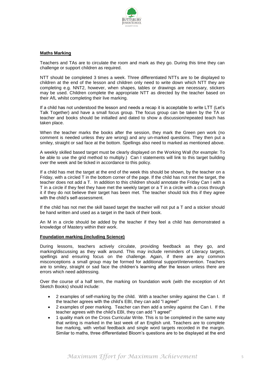

#### **Maths Marking**

Teachers and TAs are to circulate the room and mark as they go. During this time they can challenge or support children as required.

NTT should be completed 3 times a week. Three differentiated NTTs are to be displayed to children at the end of the lesson and children only need to write down which NTT they are completing e.g. NNT2, however, when shapes, tables or drawings are necessary, stickers may be used. Children complete the appropriate NTT as directed by the teacher based on their AfL whilst completing their live marking.

If a child has not understood the lesson and needs a recap it is acceptable to write LTT (Let's Talk Together) and have a small focus group. The focus group can be taken by the TA or teacher and books should be initialled and dated to show a discussion/repeated teach has taken place.

When the teacher marks the books after the session, they mark the Green pen work (no comment is needed unless they are wrong) and any un-marked questions. They then put a smiley, straight or sad face at the bottom. Spellings also need to marked as mentioned above.

A weekly skilled based target must be clearly displayed on the Working Wall (for example: To be able to use the grid method to multiply.) Can I statements will link to this target building over the week and be ticked in accordance to this policy.

If a child has met the target at the end of the week this should be shown, by the teacher on a Friday, with a circled T in the bottom corner of the page. If the child has not met the target, the teacher does not add a T. In addition to this children should annotate the Friday Can I with a T in a circle if they feel they have met the weekly target or a T in a circle with a cross through it if they do not believe their target has been met. The teacher should tick this if they agree with the child's self-assessment.

If the child has not met the skill based target the teacher will not put a T and a sticker should be hand written and used as a target in the back of their book.

An M in a circle should be added by the teacher if they feel a child has demonstrated a knowledge of Mastery within their work.

#### **Foundation marking (including Science)**

During lessons, teachers actively circulate, providing feedback as they go, and marking/discussing as they walk around. This may include reminders of Literacy targets, spellings and ensuring focus on the challenge. Again, if there are any common misconceptions a small group may be formed for additional support/intervention. Teachers are to smiley, straight or sad face the children's learning after the lesson unless there are errors which need addressing.

Over the course of a half term, the marking on foundation work (with the exception of Art Sketch Books) should include:

- 2 examples of self-marking by the child. With a teacher smiley against the Can I. If the teacher agrees with the child's EBI, they can add "I agree!"
- 2 examples of peer marking. Teacher can then add a smiley against the Can I. If the teacher agrees with the child's EBI, they can add "I agree!"
- 1 quality mark on the Cross Curricular Write. This is to be completed in the same way that writing is marked in the last week of an English unit. Teachers are to complete live marking, with verbal feedback and single word targets recorded in the margin. Similar to maths, three differentiated Bloom's questions are to be displayed at the end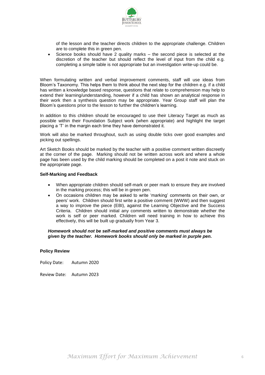

of the lesson and the teacher directs children to the appropriate challenge. Children are to complete this in green pen.

 Science books should have 2 quality marks – the second piece is selected at the discretion of the teacher but should reflect the level of input from the child e.g. completing a simple table is not appropriate but an investigation write-up could be.

When formulating written and verbal improvement comments, staff will use ideas from Bloom's Taxonomy. This helps them to think about the next step for the children e.g. if a child has written a knowledge based response, questions that relate to comprehension may help to extend their learning/understanding, however if a child has shown an analytical response in their work then a synthesis question may be appropriate. Year Group staff will plan the Bloom's questions prior to the lesson to further the children's learning.

In addition to this children should be encouraged to use their Literacy Target as much as possible within their Foundation Subject work (when appropriate) and highlight the target placing a 'T' in the margin each time they have demonstrated it.

Work will also be marked throughout, such as using double ticks over good examples and picking out spellings.

Art Sketch Books should be marked by the teacher with a positive comment written discreetly at the corner of the page. Marking should not be written across work and where a whole page has been used by the child marking should be completed on a post it note and stuck on the appropriate page.

# **Self-Marking and Feedback**

- When appropriate children should self-mark or peer mark to ensure they are involved in the marking process; this will be in green pen.
- On occasions children may be asked to write 'marking' comments on their own, or peers' work. Children should first write a positive comment (WWW) and then suggest a way to improve the piece (EBI), against the Learning Objective and the Success Criteria. Children should initial any comments written to demonstrate whether the work is self or peer marked. Children will need training in how to achieve this effectively, this will be built up gradually from Year 3.

#### *Homework should not be self-marked and positive comments must always be given by the teacher. Homework books should only be marked in purple pen.*

# **Policy Review**

Policy Date: Autumn 2020

Review Date: Autumn 2023